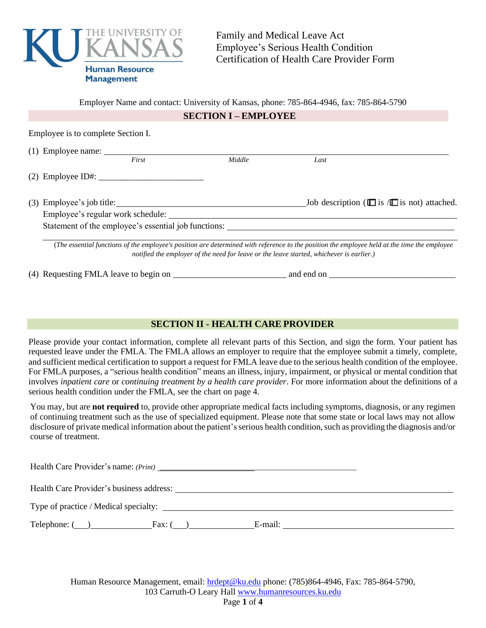

Family and Medical Leave Act Employee's Serious Health Condition Certification of Health Care Provider Form

Employer Name and contact: University of Kansas, phone: 785-864-4946, fax: 785-864-5790

### **SECTION I – EMPLOYEE**

Employee is to complete Section I.

|  | First                                                | Middle | Last                                                         |
|--|------------------------------------------------------|--------|--------------------------------------------------------------|
|  | $(2)$ Employee ID#:                                  |        |                                                              |
|  | $(3)$ Employee's job title:                          |        | Job description ( $\square$ is / $\square$ is not) attached. |
|  | Employee's regular work schedule:                    |        |                                                              |
|  | Statement of the employee's essential job functions: |        |                                                              |

*notified the employer of the need for leave or the leave started, whichever is earlier.)*

(4) Requesting FMLA leave to begin on \_\_\_\_\_\_\_\_\_\_\_\_\_\_\_\_\_\_\_\_\_\_\_\_\_\_ and end on \_\_\_\_\_\_\_\_\_\_\_\_\_\_\_\_\_\_\_\_\_\_\_\_\_\_\_\_\_

## **SECTION II - HEALTH CARE PROVIDER**

Please provide your contact information, complete all relevant parts of this Section, and sign the form. Your patient has requested leave under the FMLA. The FMLA allows an employer to require that the employee submit a timely, complete, and sufficient medical certification to support a request for FMLA leave due to the serious health condition of the employee. For FMLA purposes, a "serious health condition" means an illness, injury, impairment, or physical or mental condition that involves *inpatient care* or *continuing treatment by a health care provider*. For more information about the definitions of a serious health condition under the FMLA, see the chart on page 4.

You may, but are **not required** to, provide other appropriate medical facts including symptoms, diagnosis, or any regimen of continuing treatment such as the use of specialized equipment. Please note that some state or local laws may not allow disclosure of private medical information about the patient's serious health condition, such as providing the diagnosis and/or course of treatment.

Health Care Provider's name: *(Print)* \_\_\_\_\_\_\_\_\_\_\_\_\_\_\_\_\_\_\_\_\_\_\_\_\_\_\_\_\_\_\_\_\_\_\_\_\_\_\_\_\_\_\_\_\_\_\_\_\_\_\_\_\_\_\_

Health Care Provider's business address:

Type of practice / Medical specialty:

 $\text{Telephone: } (\_\_\_\_\_\_\_\_\_\_\$  Fax: ( $\_\_\_\_\_\_\_\_\_\_\_\_\_\_\_\_\_\_\_\_\_\_\_\_\_\_$ . E-mail:  $\_\_\_\_\_\_\_\_\_\_\_\_\_$ 

Human Resource Management, email: [hrdept@ku.edu](mailto:hrdept@ku.edu) phone: (785)864-4946, Fax: 785-864-5790, 103 Carruth-O Leary Hall [www.humanresources.ku.edu](http://www.humanresources.ku.edu/) Page **1** of **4**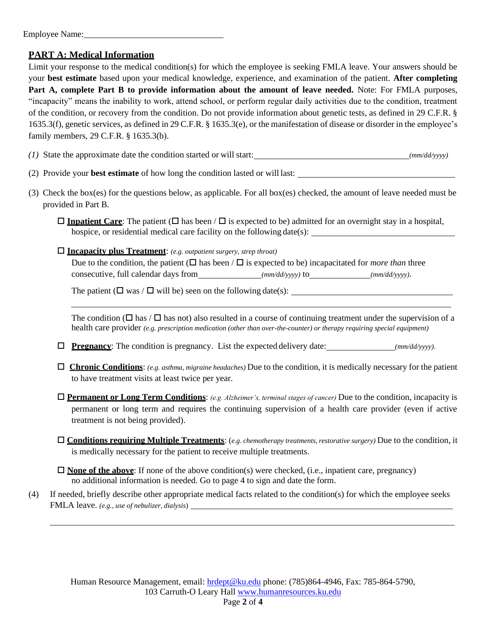# **PART A: Medical Information**

Limit your response to the medical condition(s) for which the employee is seeking FMLA leave. Your answers should be your **best estimate** based upon your medical knowledge, experience, and examination of the patient. **After completing Part A, complete Part B to provide information about the amount of leave needed.** Note: For FMLA purposes, "incapacity" means the inability to work, attend school, or perform regular daily activities due to the condition, treatment of the condition, or recovery from the condition. Do not provide information about genetic tests, as defined in 29 C.F.R. § 1635.3(f), genetic services, as defined in 29 C.F.R. § 1635.3(e), or the manifestation of disease or disorder in the employee's family members, 29 C.F.R. § 1635.3(b).

- *(1)* State the approximate date the condition started or will start: *(mm/dd/yyyy)*
- (2) Provide your **best estimate** of how long the condition lasted or will last:
- (3) Check the box(es) for the questions below, as applicable. For all box(es) checked, the amount of leave needed must be provided in Part B.
	- $\Box$  **Inpatient Care**: The patient ( $\Box$  has been / $\Box$  is expected to be) admitted for an overnight stay in a hospital, hospice, or residential medical care facility on the following date(s):
	- **Incapacity plus Treatment**: *(e.g. outpatient surgery, strep throat)*

Due to the condition, the patient ( $\Box$  has been /  $\Box$  is expected to be) incapacitated for *more than* three consecutive, full calendar days from *(mm/dd/yyyy)* to *(mm/dd/yyyy)*.

The patient ( $\Box$  was / $\Box$  will be) seen on the following date(s):

The condition ( $\Box$  has /  $\Box$  has not) also resulted in a course of continuing treatment under the supervision of a health care provider *(e.g. prescription medication (other than over-the-counter) or therapy requiring special equipment)*

- **Pregnancy**: The condition is pregnancy. List the expected delivery date: *(mm/dd/yyyy)*.
- **Chronic Conditions**: *(e.g. asthma, migraine headaches)* Due to the condition, it is medically necessary for the patient to have treatment visits at least twice per year.
- **Permanent or Long Term Conditions**: *(e.g. Alzheimer's, terminal stages of cancer)* Due to the condition, incapacity is permanent or long term and requires the continuing supervision of a health care provider (even if active treatment is not being provided).
- **Conditions requiring Multiple Treatments**: (*e.g. chemotherapy treatments, restorative surgery)* Due to the condition, it is medically necessary for the patient to receive multiple treatments.
- **None of the above**: If none of the above condition(s) were checked, (i.e., inpatient care, pregnancy) no additional information is needed. Go to page 4 to sign and date the form.
- (4) If needed, briefly describe other appropriate medical facts related to the condition(s) for which the employee seeks FMLA leave. *(e.g., use of nebulizer, dialysis*)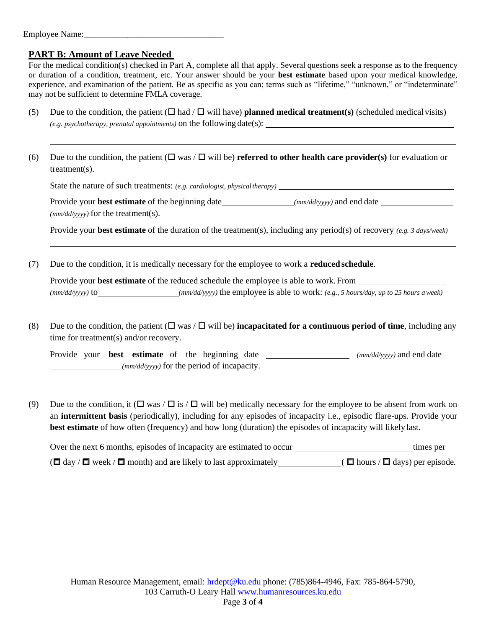#### Employee Name:

# **PART B: Amount of Leave Needed**

For the medical condition(s) checked in Part A, complete all that apply. Several questions seek a response as to the frequency or duration of a condition, treatment, etc. Your answer should be your **best estimate** based upon your medical knowledge, experience, and examination of the patient. Be as specific as you can; terms such as "lifetime," "unknown," or "indeterminate" may not be sufficient to determine FMLA coverage.

- (5) Due to the condition, the patient  $(\Box$  had  $/\Box$  will have) **planned medical treatment(s)** (scheduled medical visits) *(e.g. psychotherapy, prenatal appointments)* on the following date(s):
- (6) Due to the condition, the patient  $(\Box \text{ was } / \Box \text{ will be})$  **referred to other health care provider(s)** for evaluation or treatment(s).

State the nature of such treatments: *(e.g. cardiologist, physicaltherapy)*

Provide your **best estimate** of the beginning date *(mm/dd/yyyy)* and end date *(mm/dd/yyyy)* for the treatment(s).

Provide your **best estimate** of the duration of the treatment(s), including any period(s) of recovery *(e.g. 3 days/week)*

(7) Due to the condition, it is medically necessary for the employee to work a **reduced schedule**.

Provide your **best estimate** of the reduced schedule the employee is able to work. From *(mm/dd/yyyy)* to *(mm/dd/yyyy)* the employee is able to work: *(e.g., 5 hours/day, up to 25 hours aweek)*

(8) Due to the condition, the patient  $(\Box \text{ was } / \Box \text{ will be})$  **incapacitated for a continuous period of time**, including any time for treatment(s) and/or recovery.

Provide your **best estimate** of the beginning date \_\_\_\_\_\_\_\_\_\_\_\_\_\_\_\_\_\_\_\_\_\_ ( $mm/dd/yyyy$ ) and end date *(mm/dd/yyyy)* for the period of incapacity.

(9) Due to the condition, it ( $\Box$  was / $\Box$  is / $\Box$  will be) medically necessary for the employee to be absent from work on an **intermittent basis** (periodically), including for any episodes of incapacity i.e., episodic flare-ups. Provide your **best estimate** of how often (frequency) and how long (duration) the episodes of incapacity will likely last.

 ( day / week / month) and are likely to last approximately ( hours / days) per episode*.*Over the next 6 months, episodes of incapacity are estimated to occur times per